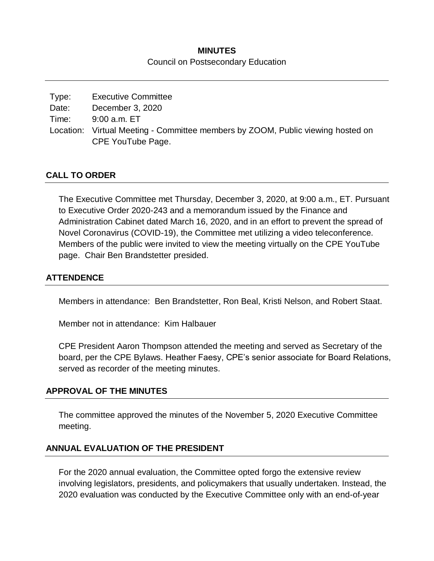# **MINUTES** Council on Postsecondary Education

| Type: | <b>Executive Committee</b>                                                      |
|-------|---------------------------------------------------------------------------------|
| Date: | December 3, 2020                                                                |
| Time: | 9:00 a.m. ET                                                                    |
|       | Location: Virtual Meeting - Committee members by ZOOM, Public viewing hosted on |
|       | CPE YouTube Page.                                                               |

### **CALL TO ORDER**

The Executive Committee met Thursday, December 3, 2020, at 9:00 a.m., ET. Pursuant to Executive Order 2020-243 and a memorandum issued by the Finance and Administration Cabinet dated March 16, 2020, and in an effort to prevent the spread of Novel Coronavirus (COVID-19), the Committee met utilizing a video teleconference. Members of the public were invited to view the meeting virtually on the CPE YouTube page. Chair Ben Brandstetter presided.

### **ATTENDENCE**

Members in attendance: Ben Brandstetter, Ron Beal, Kristi Nelson, and Robert Staat.

Member not in attendance: Kim Halbauer

CPE President Aaron Thompson attended the meeting and served as Secretary of the board, per the CPE Bylaws. Heather Faesy, CPE's senior associate for Board Relations, served as recorder of the meeting minutes.

#### **APPROVAL OF THE MINUTES**

The committee approved the minutes of the November 5, 2020 Executive Committee meeting.

# **ANNUAL EVALUATION OF THE PRESIDENT**

For the 2020 annual evaluation, the Committee opted forgo the extensive review involving legislators, presidents, and policymakers that usually undertaken. Instead, the 2020 evaluation was conducted by the Executive Committee only with an end-of-year